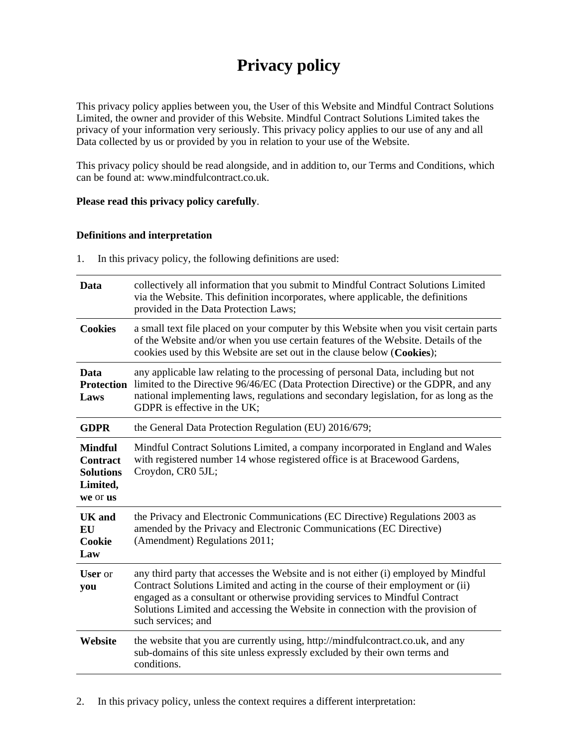# **Privacy policy**

This privacy policy applies between you, the User of this Website and Mindful Contract Solutions Limited, the owner and provider of this Website. Mindful Contract Solutions Limited takes the privacy of your information very seriously. This privacy policy applies to our use of any and all Data collected by us or provided by you in relation to your use of the Website.

This privacy policy should be read alongside, and in addition to, our Terms and Conditions, which can be found at: www.mindfulcontract.co.uk.

#### **Please read this privacy policy carefully**.

#### **Definitions and interpretation**

1. In this privacy policy, the following definitions are used:

| Data                                                                          | collectively all information that you submit to Mindful Contract Solutions Limited<br>via the Website. This definition incorporates, where applicable, the definitions<br>provided in the Data Protection Laws;                                                                                                                                                |
|-------------------------------------------------------------------------------|----------------------------------------------------------------------------------------------------------------------------------------------------------------------------------------------------------------------------------------------------------------------------------------------------------------------------------------------------------------|
| <b>Cookies</b>                                                                | a small text file placed on your computer by this Website when you visit certain parts<br>of the Website and/or when you use certain features of the Website. Details of the<br>cookies used by this Website are set out in the clause below (Cookies);                                                                                                        |
| Data<br><b>Protection</b><br>Laws                                             | any applicable law relating to the processing of personal Data, including but not<br>limited to the Directive 96/46/EC (Data Protection Directive) or the GDPR, and any<br>national implementing laws, regulations and secondary legislation, for as long as the<br>GDPR is effective in the UK;                                                               |
| <b>GDPR</b>                                                                   | the General Data Protection Regulation (EU) 2016/679;                                                                                                                                                                                                                                                                                                          |
| <b>Mindful</b><br><b>Contract</b><br><b>Solutions</b><br>Limited,<br>we or us | Mindful Contract Solutions Limited, a company incorporated in England and Wales<br>with registered number 14 whose registered office is at Bracewood Gardens,<br>Croydon, CR0 5JL;                                                                                                                                                                             |
| <b>UK</b> and<br><b>EU</b><br>Cookie<br>Law                                   | the Privacy and Electronic Communications (EC Directive) Regulations 2003 as<br>amended by the Privacy and Electronic Communications (EC Directive)<br>(Amendment) Regulations 2011;                                                                                                                                                                           |
| <b>User</b> or<br>you                                                         | any third party that accesses the Website and is not either (i) employed by Mindful<br>Contract Solutions Limited and acting in the course of their employment or (ii)<br>engaged as a consultant or otherwise providing services to Mindful Contract<br>Solutions Limited and accessing the Website in connection with the provision of<br>such services; and |
| Website                                                                       | the website that you are currently using, http://mindfulcontract.co.uk, and any<br>sub-domains of this site unless expressly excluded by their own terms and<br>conditions.                                                                                                                                                                                    |

2. In this privacy policy, unless the context requires a different interpretation: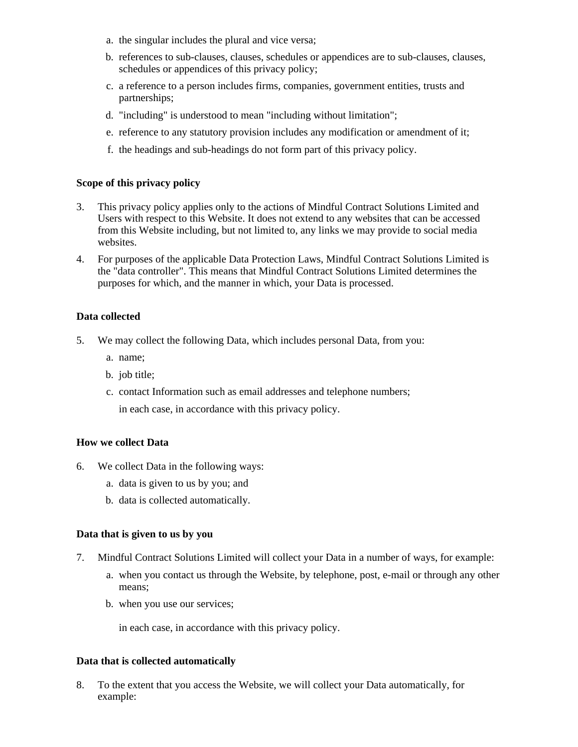- a. the singular includes the plural and vice versa;
- b. references to sub-clauses, clauses, schedules or appendices are to sub-clauses, clauses, schedules or appendices of this privacy policy;
- c. a reference to a person includes firms, companies, government entities, trusts and partnerships;
- d. "including" is understood to mean "including without limitation";
- e. reference to any statutory provision includes any modification or amendment of it;
- f. the headings and sub-headings do not form part of this privacy policy.

#### **Scope of this privacy policy**

- 3. This privacy policy applies only to the actions of Mindful Contract Solutions Limited and Users with respect to this Website. It does not extend to any websites that can be accessed from this Website including, but not limited to, any links we may provide to social media websites.
- 4. For purposes of the applicable Data Protection Laws, Mindful Contract Solutions Limited is the "data controller". This means that Mindful Contract Solutions Limited determines the purposes for which, and the manner in which, your Data is processed.

#### **Data collected**

- 5. We may collect the following Data, which includes personal Data, from you:
	- a. name;
	- b. job title;
	- c. contact Information such as email addresses and telephone numbers;

in each case, in accordance with this privacy policy.

#### **How we collect Data**

- 6. We collect Data in the following ways:
	- a. data is given to us by you; and
	- b. data is collected automatically.

#### **Data that is given to us by you**

- 7. Mindful Contract Solutions Limited will collect your Data in a number of ways, for example:
	- a. when you contact us through the Website, by telephone, post, e-mail or through any other means;
	- b. when you use our services;

in each case, in accordance with this privacy policy.

#### **Data that is collected automatically**

8. To the extent that you access the Website, we will collect your Data automatically, for example: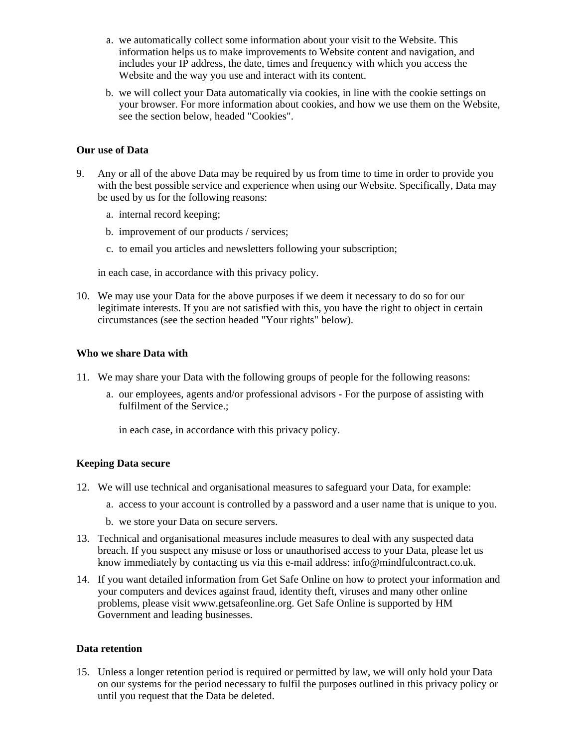- a. we automatically collect some information about your visit to the Website. This information helps us to make improvements to Website content and navigation, and includes your IP address, the date, times and frequency with which you access the Website and the way you use and interact with its content.
- b. we will collect your Data automatically via cookies, in line with the cookie settings on your browser. For more information about cookies, and how we use them on the Website, see the section below, headed "Cookies".

#### **Our use of Data**

- 9. Any or all of the above Data may be required by us from time to time in order to provide you with the best possible service and experience when using our Website. Specifically, Data may be used by us for the following reasons:
	- a. internal record keeping;
	- b. improvement of our products / services;
	- c. to email you articles and newsletters following your subscription;

in each case, in accordance with this privacy policy.

10. We may use your Data for the above purposes if we deem it necessary to do so for our legitimate interests. If you are not satisfied with this, you have the right to object in certain circumstances (see the section headed "Your rights" below).

#### **Who we share Data with**

- 11. We may share your Data with the following groups of people for the following reasons:
	- a. our employees, agents and/or professional advisors For the purpose of assisting with fulfilment of the Service.;

in each case, in accordance with this privacy policy.

## **Keeping Data secure**

- 12. We will use technical and organisational measures to safeguard your Data, for example:
	- a. access to your account is controlled by a password and a user name that is unique to you.
	- b. we store your Data on secure servers.
- 13. Technical and organisational measures include measures to deal with any suspected data breach. If you suspect any misuse or loss or unauthorised access to your Data, please let us know immediately by contacting us via this e-mail address: info@mindfulcontract.co.uk.
- 14. If you want detailed information from Get Safe Online on how to protect your information and your computers and devices against fraud, identity theft, viruses and many other online problems, please visit www.getsafeonline.org. Get Safe Online is supported by HM Government and leading businesses.

## **Data retention**

15. Unless a longer retention period is required or permitted by law, we will only hold your Data on our systems for the period necessary to fulfil the purposes outlined in this privacy policy or until you request that the Data be deleted.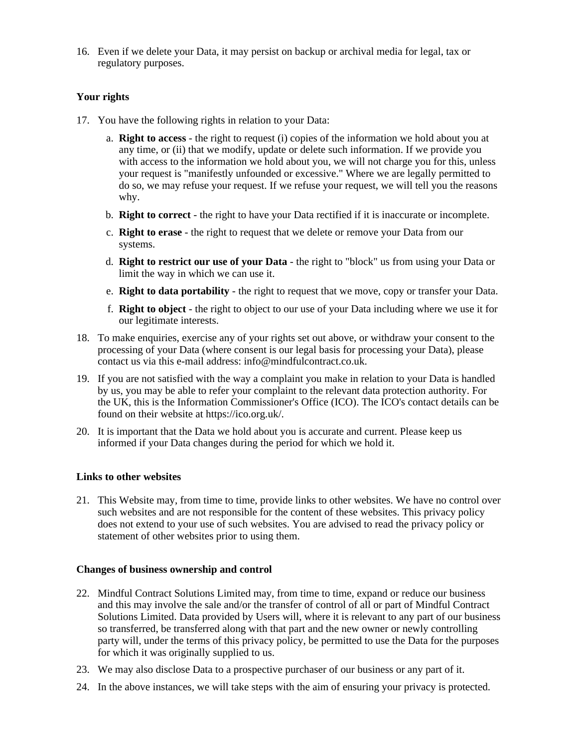16. Even if we delete your Data, it may persist on backup or archival media for legal, tax or regulatory purposes.

### **Your rights**

- 17. You have the following rights in relation to your Data:
	- a. **Right to access** the right to request (i) copies of the information we hold about you at any time, or (ii) that we modify, update or delete such information. If we provide you with access to the information we hold about you, we will not charge you for this, unless your request is "manifestly unfounded or excessive." Where we are legally permitted to do so, we may refuse your request. If we refuse your request, we will tell you the reasons why.
	- b. **Right to correct** the right to have your Data rectified if it is inaccurate or incomplete.
	- c. **Right to erase** the right to request that we delete or remove your Data from our systems.
	- d. **Right to restrict our use of your Data** the right to "block" us from using your Data or limit the way in which we can use it.
	- e. **Right to data portability** the right to request that we move, copy or transfer your Data.
	- f. **Right to object** the right to object to our use of your Data including where we use it for our legitimate interests.
- 18. To make enquiries, exercise any of your rights set out above, or withdraw your consent to the processing of your Data (where consent is our legal basis for processing your Data), please contact us via this e-mail address: info@mindfulcontract.co.uk.
- 19. If you are not satisfied with the way a complaint you make in relation to your Data is handled by us, you may be able to refer your complaint to the relevant data protection authority. For the UK, this is the Information Commissioner's Office (ICO). The ICO's contact details can be found on their website at https://ico.org.uk/.
- 20. It is important that the Data we hold about you is accurate and current. Please keep us informed if your Data changes during the period for which we hold it.

#### **Links to other websites**

21. This Website may, from time to time, provide links to other websites. We have no control over such websites and are not responsible for the content of these websites. This privacy policy does not extend to your use of such websites. You are advised to read the privacy policy or statement of other websites prior to using them.

#### **Changes of business ownership and control**

- 22. Mindful Contract Solutions Limited may, from time to time, expand or reduce our business and this may involve the sale and/or the transfer of control of all or part of Mindful Contract Solutions Limited. Data provided by Users will, where it is relevant to any part of our business so transferred, be transferred along with that part and the new owner or newly controlling party will, under the terms of this privacy policy, be permitted to use the Data for the purposes for which it was originally supplied to us.
- 23. We may also disclose Data to a prospective purchaser of our business or any part of it.
- 24. In the above instances, we will take steps with the aim of ensuring your privacy is protected.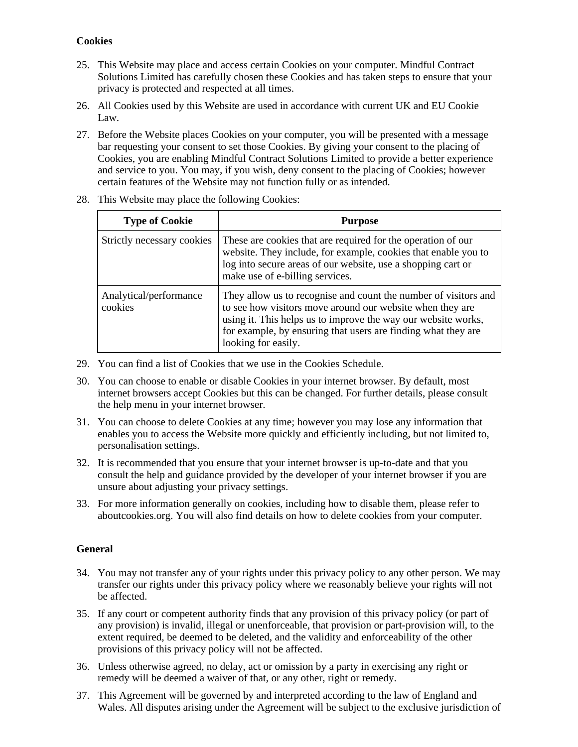## **Cookies**

- 25. This Website may place and access certain Cookies on your computer. Mindful Contract Solutions Limited has carefully chosen these Cookies and has taken steps to ensure that your privacy is protected and respected at all times.
- 26. All Cookies used by this Website are used in accordance with current UK and EU Cookie Law.
- 27. Before the Website places Cookies on your computer, you will be presented with a message bar requesting your consent to set those Cookies. By giving your consent to the placing of Cookies, you are enabling Mindful Contract Solutions Limited to provide a better experience and service to you. You may, if you wish, deny consent to the placing of Cookies; however certain features of the Website may not function fully or as intended.

| <b>Type of Cookie</b>             | <b>Purpose</b>                                                                                                                                                                                                                                                                        |
|-----------------------------------|---------------------------------------------------------------------------------------------------------------------------------------------------------------------------------------------------------------------------------------------------------------------------------------|
| Strictly necessary cookies        | These are cookies that are required for the operation of our<br>website. They include, for example, cookies that enable you to<br>log into secure areas of our website, use a shopping cart or<br>make use of e-billing services.                                                     |
| Analytical/performance<br>cookies | They allow us to recognise and count the number of visitors and<br>to see how visitors move around our website when they are<br>using it. This helps us to improve the way our website works,<br>for example, by ensuring that users are finding what they are<br>looking for easily. |

28. This Website may place the following Cookies:

- 29. You can find a list of Cookies that we use in the Cookies Schedule.
- 30. You can choose to enable or disable Cookies in your internet browser. By default, most internet browsers accept Cookies but this can be changed. For further details, please consult the help menu in your internet browser.
- 31. You can choose to delete Cookies at any time; however you may lose any information that enables you to access the Website more quickly and efficiently including, but not limited to, personalisation settings.
- 32. It is recommended that you ensure that your internet browser is up-to-date and that you consult the help and guidance provided by the developer of your internet browser if you are unsure about adjusting your privacy settings.
- 33. For more information generally on cookies, including how to disable them, please refer to aboutcookies.org. You will also find details on how to delete cookies from your computer.

## **General**

- 34. You may not transfer any of your rights under this privacy policy to any other person. We may transfer our rights under this privacy policy where we reasonably believe your rights will not be affected.
- 35. If any court or competent authority finds that any provision of this privacy policy (or part of any provision) is invalid, illegal or unenforceable, that provision or part-provision will, to the extent required, be deemed to be deleted, and the validity and enforceability of the other provisions of this privacy policy will not be affected.
- 36. Unless otherwise agreed, no delay, act or omission by a party in exercising any right or remedy will be deemed a waiver of that, or any other, right or remedy.
- 37. This Agreement will be governed by and interpreted according to the law of England and Wales. All disputes arising under the Agreement will be subject to the exclusive jurisdiction of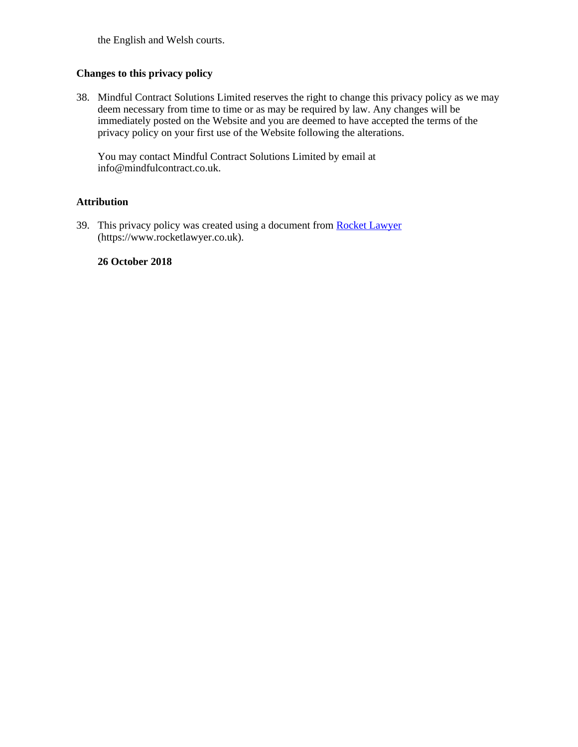the English and Welsh courts.

## **Changes to this privacy policy**

38. Mindful Contract Solutions Limited reserves the right to change this privacy policy as we may deem necessary from time to time or as may be required by law. Any changes will be immediately posted on the Website and you are deemed to have accepted the terms of the privacy policy on your first use of the Website following the alterations.

You may contact Mindful Contract Solutions Limited by email at info@mindfulcontract.co.uk.

#### **Attribution**

39. This privacy policy was created using a document from **Rocket Lawyer** (https://www.rocketlawyer.co.uk).

#### **26 October 2018**